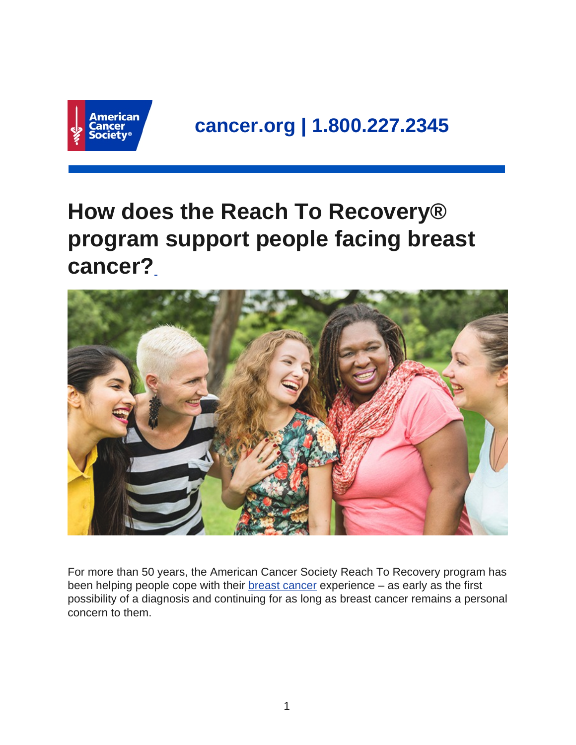

## **How does the Reach To Recovery® program support people facing breast cancer?**



For more than 50 years, the American Cancer Society Reach To Recovery program has been helping people cope with their **breast cancer experience** – as early as the first possibility of a diagnosis and continuing for as long as breast cancer remains a personal concern to them.